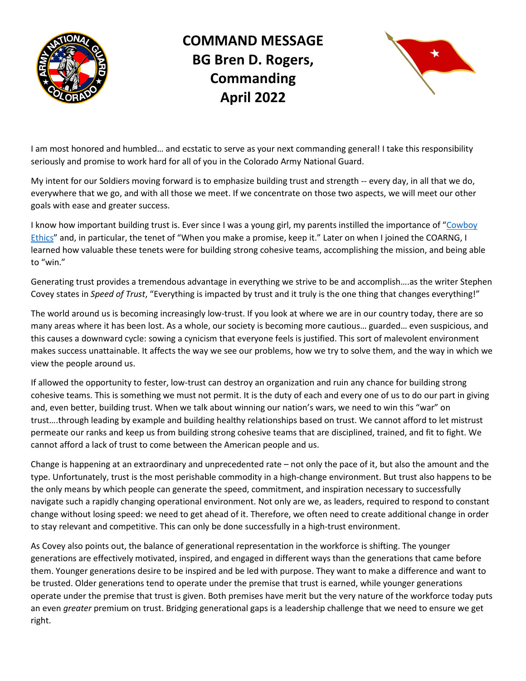

## **COMMAND MESSAGE BG Bren D. Rogers, Commanding April 2022**



I am most honored and humbled… and ecstatic to serve as your next commanding general! I take this responsibility seriously and promise to work hard for all of you in the Colorado Army National Guard.

My intent for our Soldiers moving forward is to emphasize building trust and strength -- every day, in all that we do, everywhere that we go, and with all those we meet. If we concentrate on those two aspects, we will meet our other goals with ease and greater success.

I know how important building trust is. Ever since I was a young girl, my parents instilled the importance of "Cowboy [Ethics"](https://cowboyethics.org/cowboy-ethics/) and, in particular, the tenet of "When you make a promise, keep it." Later on when I joined the COARNG, I learned how valuable these tenets were for building strong cohesive teams, accomplishing the mission, and being able to "win."

Generating trust provides a tremendous advantage in everything we strive to be and accomplish….as the writer Stephen Covey states in *Speed of Trust*, "Everything is impacted by trust and it truly is the one thing that changes everything!"

The world around us is becoming increasingly low-trust. If you look at where we are in our country today, there are so many areas where it has been lost. As a whole, our society is becoming more cautious… guarded… even suspicious, and this causes a downward cycle: sowing a cynicism that everyone feels is justified. This sort of malevolent environment makes success unattainable. It affects the way we see our problems, how we try to solve them, and the way in which we view the people around us.

If allowed the opportunity to fester, low-trust can destroy an organization and ruin any chance for building strong cohesive teams. This is something we must not permit. It is the duty of each and every one of us to do our part in giving and, even better, building trust. When we talk about winning our nation's wars, we need to win this "war" on trust….through leading by example and building healthy relationships based on trust. We cannot afford to let mistrust permeate our ranks and keep us from building strong cohesive teams that are disciplined, trained, and fit to fight. We cannot afford a lack of trust to come between the American people and us.

Change is happening at an extraordinary and unprecedented rate – not only the pace of it, but also the amount and the type. Unfortunately, trust is the most perishable commodity in a high-change environment. But trust also happens to be the only means by which people can generate the speed, commitment, and inspiration necessary to successfully navigate such a rapidly changing operational environment. Not only are we, as leaders, required to respond to constant change without losing speed: we need to get ahead of it. Therefore, we often need to create additional change in order to stay relevant and competitive. This can only be done successfully in a high-trust environment.

As Covey also points out, the balance of generational representation in the workforce is shifting. The younger generations are effectively motivated, inspired, and engaged in different ways than the generations that came before them. Younger generations desire to be inspired and be led with purpose. They want to make a difference and want to be trusted. Older generations tend to operate under the premise that trust is earned, while younger generations operate under the premise that trust is given. Both premises have merit but the very nature of the workforce today puts an even *greater* premium on trust. Bridging generational gaps is a leadership challenge that we need to ensure we get right.